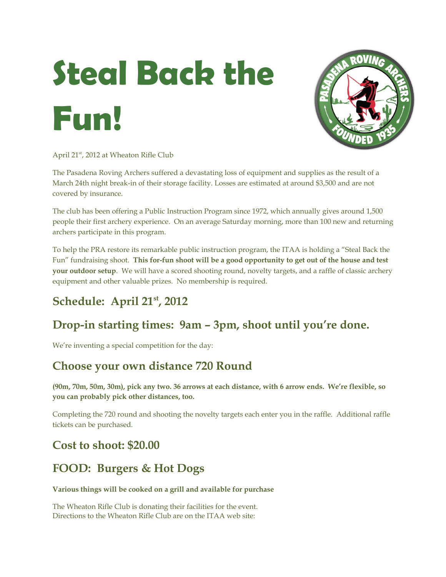# **Steal Back the Fun!**



April 21<sup>st</sup>, 2012 at Wheaton Rifle Club

The Pasadena Roving Archers suffered a devastating loss of equipment and supplies as the result of a March 24th night break-in of their storage facility. Losses are estimated at around \$3,500 and are not covered by insurance.

The club has been offering a Public Instruction Program since 1972, which annually gives around 1,500 people their first archery experience. On an average Saturday morning, more than 100 new and returning archers participate in this program.

To help the PRA restore its remarkable public instruction program, the ITAA is holding a "Steal Back the Fun" fundraising shoot. **This for-fun shoot will be a good opportunity to get out of the house and test your outdoor setup**. We will have a scored shooting round, novelty targets, and a raffle of classic archery equipment and other valuable prizes. No membership is required.

# **Schedule: April 21st, 2012**

# **Drop-in starting times: 9am – 3pm, shoot until you're done.**

We're inventing a special competition for the day:

### **Choose your own distance 720 Round**

**(90m, 70m, 50m, 30m), pick any two. 36 arrows at each distance, with 6 arrow ends. We're flexible, so you can probably pick other distances, too.**

Completing the 720 round and shooting the novelty targets each enter you in the raffle. Additional raffle tickets can be purchased.

#### **Cost to shoot: \$20.00**

# **FOOD: Burgers & Hot Dogs**

#### **Various things will be cooked on a grill and available for purchase**

The Wheaton Rifle Club is donating their facilities for the event. Directions to the Wheaton Rifle Club are on the ITAA web site: